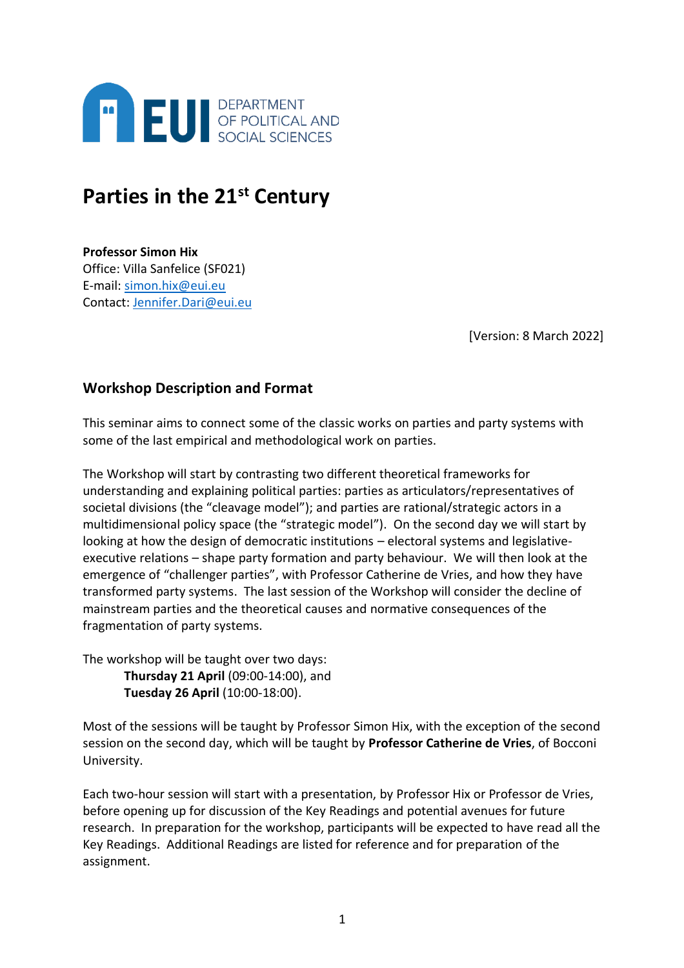

# **Parties in the 21st Century**

**Professor Simon Hix** Office: Villa Sanfelice (SF021) E-mail: [simon.hix@eui.eu](mailto:simon.hix@eui.eu) Contact: [Jennifer.Dari@eui.eu](mailto:Jennifer.Dari@eui.eu)

[Version: 8 March 2022]

### **Workshop Description and Format**

This seminar aims to connect some of the classic works on parties and party systems with some of the last empirical and methodological work on parties.

The Workshop will start by contrasting two different theoretical frameworks for understanding and explaining political parties: parties as articulators/representatives of societal divisions (the "cleavage model"); and parties are rational/strategic actors in a multidimensional policy space (the "strategic model"). On the second day we will start by looking at how the design of democratic institutions – electoral systems and legislativeexecutive relations – shape party formation and party behaviour. We will then look at the emergence of "challenger parties", with Professor Catherine de Vries, and how they have transformed party systems. The last session of the Workshop will consider the decline of mainstream parties and the theoretical causes and normative consequences of the fragmentation of party systems.

The workshop will be taught over two days: **Thursday 21 April** (09:00-14:00), and **Tuesday 26 April** (10:00-18:00).

Most of the sessions will be taught by Professor Simon Hix, with the exception of the second session on the second day, which will be taught by **Professor Catherine de Vries**, of Bocconi University.

Each two-hour session will start with a presentation, by Professor Hix or Professor de Vries, before opening up for discussion of the Key Readings and potential avenues for future research. In preparation for the workshop, participants will be expected to have read all the Key Readings. Additional Readings are listed for reference and for preparation of the assignment.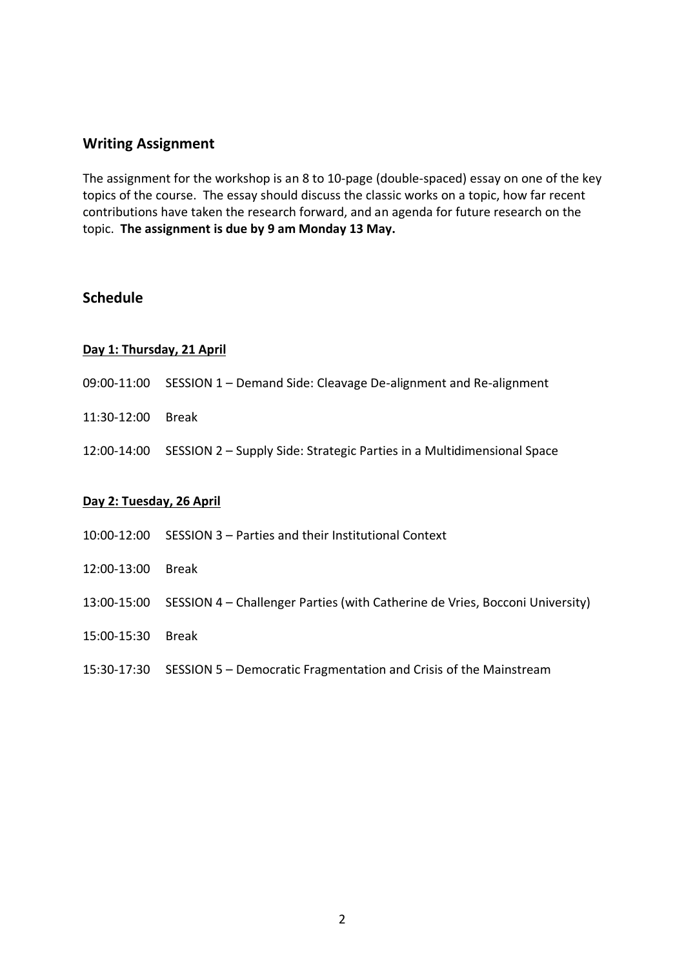### **Writing Assignment**

The assignment for the workshop is an 8 to 10-page (double-spaced) essay on one of the key topics of the course. The essay should discuss the classic works on a topic, how far recent contributions have taken the research forward, and an agenda for future research on the topic. **The assignment is due by 9 am Monday 13 May.**

### **Schedule**

#### **Day 1: Thursday, 21 April**

- 09:00-11:00 SESSION 1 Demand Side: Cleavage De-alignment and Re-alignment
- 11:30-12:00 Break
- 12:00-14:00 SESSION 2 Supply Side: Strategic Parties in a Multidimensional Space

#### **Day 2: Tuesday, 26 April**

- 10:00-12:00 SESSION 3 Parties and their Institutional Context
- 12:00-13:00 Break
- 13:00-15:00 SESSION 4 Challenger Parties (with Catherine de Vries, Bocconi University)
- 15:00-15:30 Break
- 15:30-17:30 SESSION 5 Democratic Fragmentation and Crisis of the Mainstream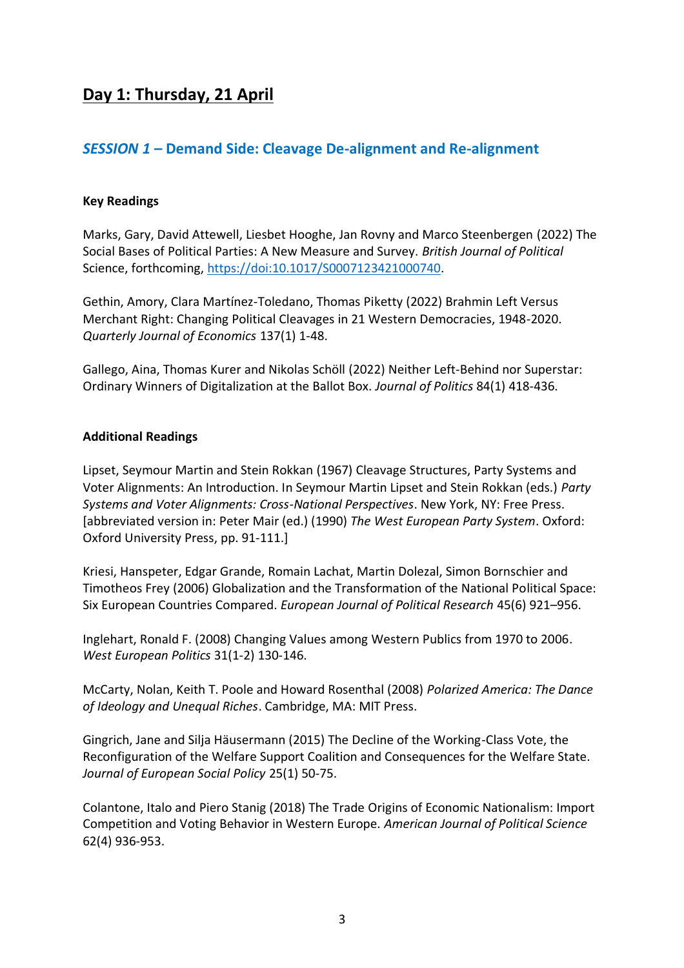# **Day 1: Thursday, 21 April**

### *SESSION 1 –* **Demand Side: Cleavage De-alignment and Re-alignment**

### **Key Readings**

Marks, Gary, David Attewell, Liesbet Hooghe, Jan Rovny and Marco Steenbergen (2022) The Social Bases of Political Parties: A New Measure and Survey. *British Journal of Political*  Science, forthcoming, [https://doi:10.1017/S0007123421000740.](https://doi:10.1017/S0007123421000740)

Gethin, Amory, Clara Martínez-Toledano, Thomas Piketty (2022) Brahmin Left Versus Merchant Right: Changing Political Cleavages in 21 Western Democracies, 1948-2020. *Quarterly Journal of Economics* 137(1) 1-48.

Gallego, Aina, Thomas Kurer and Nikolas Schöll (2022) Neither Left-Behind nor Superstar: Ordinary Winners of Digitalization at the Ballot Box. *Journal of Politics* 84(1) 418-436.

#### **Additional Readings**

Lipset, Seymour Martin and Stein Rokkan (1967) Cleavage Structures, Party Systems and Voter Alignments: An Introduction. In Seymour Martin Lipset and Stein Rokkan (eds.) *Party Systems and Voter Alignments: Cross-National Perspectives*. New York, NY: Free Press. [abbreviated version in: Peter Mair (ed.) (1990) *The West European Party System*. Oxford: Oxford University Press, pp. 91-111.]

Kriesi, Hanspeter, Edgar Grande, Romain Lachat, Martin Dolezal, Simon Bornschier and Timotheos Frey (2006) Globalization and the Transformation of the National Political Space: Six European Countries Compared. *European Journal of Political Research* 45(6) 921–956.

Inglehart, Ronald F. (2008) Changing Values among Western Publics from 1970 to 2006. *West European Politics* 31(1-2) 130-146.

McCarty, Nolan, Keith T. Poole and Howard Rosenthal (2008) *Polarized America: The Dance of Ideology and Unequal Riches*. Cambridge, MA: MIT Press.

Gingrich, Jane and Silja Häusermann (2015) The Decline of the Working-Class Vote, the Reconfiguration of the Welfare Support Coalition and Consequences for the Welfare State. *Journal of European Social Policy* 25(1) 50-75.

Colantone, Italo and Piero Stanig (2018) The Trade Origins of Economic Nationalism: Import Competition and Voting Behavior in Western Europe. *American Journal of Political Science* 62(4) 936-953.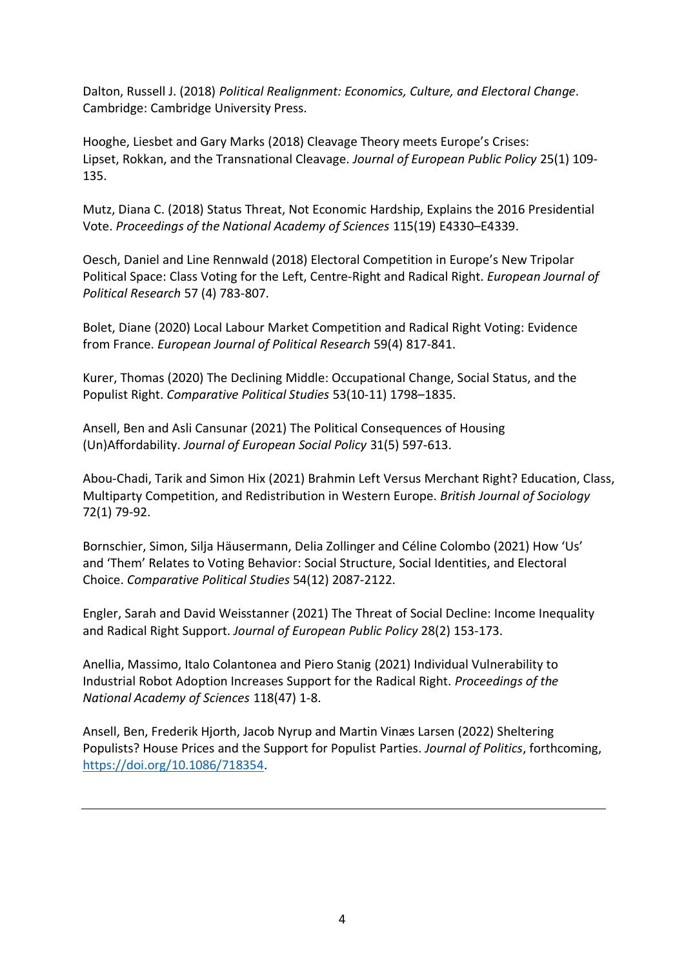Dalton, Russell J. (2018) *Political Realignment: Economics, Culture, and Electoral Change*. Cambridge: Cambridge University Press.

Hooghe, Liesbet and Gary Marks (2018) Cleavage Theory meets Europe's Crises: Lipset, Rokkan, and the Transnational Cleavage. *Journal of European Public Policy* 25(1) 109- 135.

Mutz, Diana C. (2018) Status Threat, Not Economic Hardship, Explains the 2016 Presidential Vote. *Proceedings of the National Academy of Sciences* 115(19) E4330–E4339.

Oesch, Daniel and Line Rennwald (2018) Electoral Competition in Europe's New Tripolar Political Space: Class Voting for the Left, Centre-Right and Radical Right. *European Journal of Political Research* 57 (4) 783-807.

Bolet, Diane (2020) Local Labour Market Competition and Radical Right Voting: Evidence from France. *European Journal of Political Research* 59(4) 817-841.

Kurer, Thomas (2020) The Declining Middle: Occupational Change, Social Status, and the Populist Right. *Comparative Political Studies* 53(10-11) 1798–1835.

Ansell, Ben and Asli Cansunar (2021) The Political Consequences of Housing (Un)Affordability. *Journal of European Social Policy* 31(5) 597-613.

Abou-Chadi, Tarik and Simon Hix (2021) Brahmin Left Versus Merchant Right? Education, Class, Multiparty Competition, and Redistribution in Western Europe. *British Journal of Sociology* 72(1) 79-92.

Bornschier, Simon, Silja Häusermann, Delia Zollinger and Céline Colombo (2021) How 'Us' and 'Them' Relates to Voting Behavior: Social Structure, Social Identities, and Electoral Choice. *Comparative Political Studies* 54(12) 2087-2122.

Engler, Sarah and David Weisstanner (2021) The Threat of Social Decline: Income Inequality and Radical Right Support. *Journal of European Public Policy* 28(2) 153-173.

Anellia, Massimo, Italo Colantonea and Piero Stanig (2021) Individual Vulnerability to Industrial Robot Adoption Increases Support for the Radical Right. *Proceedings of the National Academy of Sciences* 118(47) 1-8.

Ansell, Ben, Frederik Hjorth, Jacob Nyrup and Martin Vinæs Larsen (2022) Sheltering Populists? House Prices and the Support for Populist Parties. *Journal of Politics*, forthcoming, [https://doi.org/10.1086/718354.](https://doi.org/10.1086/718354)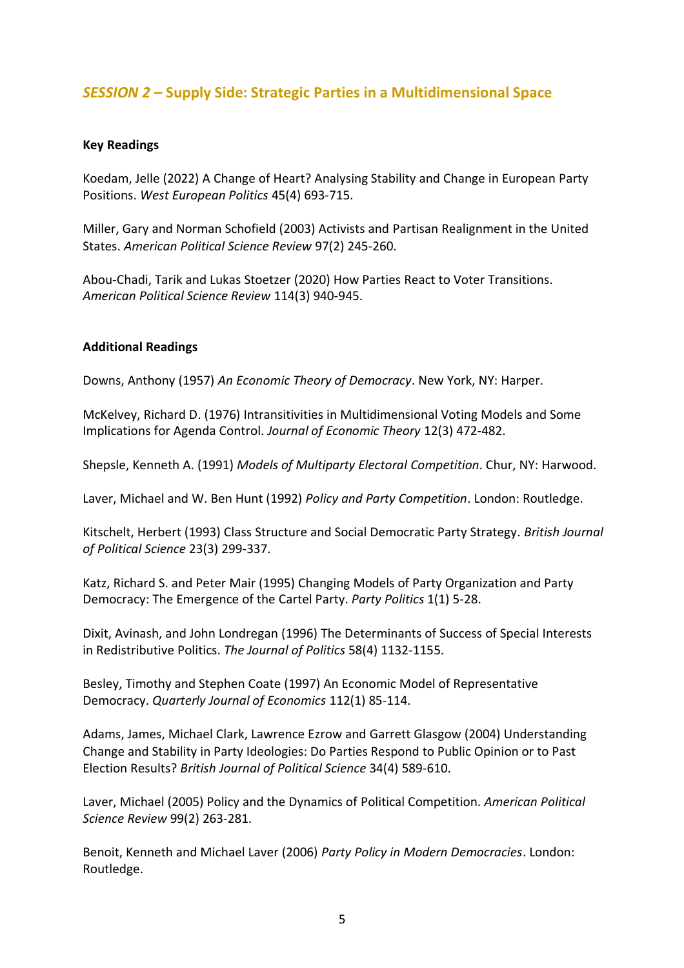### *SESSION 2 –* **Supply Side: Strategic Parties in a Multidimensional Space**

### **Key Readings**

Koedam, Jelle (2022) A Change of Heart? Analysing Stability and Change in European Party Positions. *West European Politics* 45(4) 693-715.

Miller, Gary and Norman Schofield (2003) Activists and Partisan Realignment in the United States. *American Political Science Review* 97(2) 245-260.

Abou-Chadi, Tarik and Lukas Stoetzer (2020) How Parties React to Voter Transitions. *American Political Science Review* 114(3) 940-945.

### **Additional Readings**

Downs, Anthony (1957) *An Economic Theory of Democracy*. New York, NY: Harper.

McKelvey, Richard D. (1976) Intransitivities in Multidimensional Voting Models and Some Implications for Agenda Control. *Journal of Economic Theory* 12(3) 472-482.

Shepsle, Kenneth A. (1991) *Models of Multiparty Electoral Competition*. Chur, NY: Harwood.

Laver, Michael and W. Ben Hunt (1992) *Policy and Party Competition*. London: Routledge.

Kitschelt, Herbert (1993) Class Structure and Social Democratic Party Strategy*. British Journal of Political Science* 23(3) 299-337.

Katz, Richard S. and Peter Mair (1995) Changing Models of Party Organization and Party Democracy: The Emergence of the Cartel Party. *Party Politics* 1(1) 5-28.

Dixit, Avinash, and John Londregan (1996) The Determinants of Success of Special Interests in Redistributive Politics. *The Journal of Politics* 58(4) 1132-1155.

Besley, Timothy and Stephen Coate (1997) An Economic Model of Representative Democracy. *Quarterly Journal of Economics* 112(1) 85-114.

Adams, James, Michael Clark, Lawrence Ezrow and Garrett Glasgow (2004) Understanding Change and Stability in Party Ideologies: Do Parties Respond to Public Opinion or to Past Election Results? *British Journal of Political Science* 34(4) 589-610.

Laver, Michael (2005) Policy and the Dynamics of Political Competition. *American Political Science Review* 99(2) 263-281.

Benoit, Kenneth and Michael Laver (2006) *Party Policy in Modern Democracies*. London: Routledge.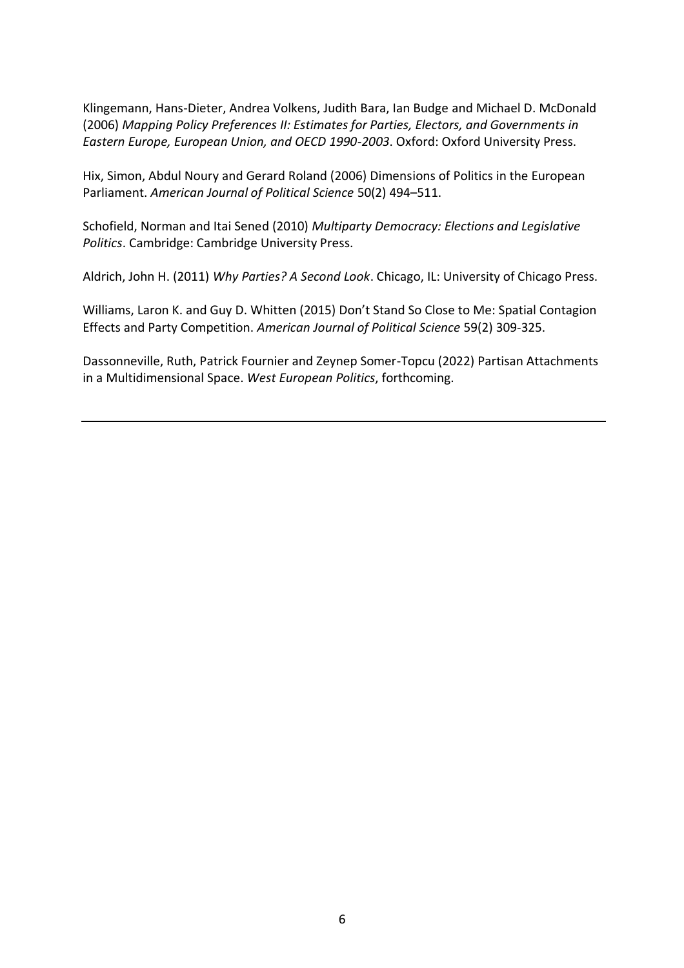Klingemann, Hans-Dieter, Andrea Volkens, Judith Bara, Ian Budge and Michael D. McDonald (2006) *Mapping Policy Preferences II: Estimates for Parties, Electors, and Governments in Eastern Europe, European Union, and OECD 1990-2003*. Oxford: Oxford University Press.

Hix, Simon, Abdul Noury and Gerard Roland (2006) Dimensions of Politics in the European Parliament. *American Journal of Political Science* 50(2) 494–511.

Schofield, Norman and Itai Sened (2010) *Multiparty Democracy: Elections and Legislative Politics*. Cambridge: Cambridge University Press.

Aldrich, John H. (2011) *Why Parties? A Second Look*. Chicago, IL: University of Chicago Press.

Williams, Laron K. and Guy D. Whitten (2015) Don't Stand So Close to Me: Spatial Contagion Effects and Party Competition. *American Journal of Political Science* 59(2) 309-325.

Dassonneville, Ruth, Patrick Fournier and Zeynep Somer-Topcu (2022) Partisan Attachments in a Multidimensional Space. *West European Politics*, forthcoming.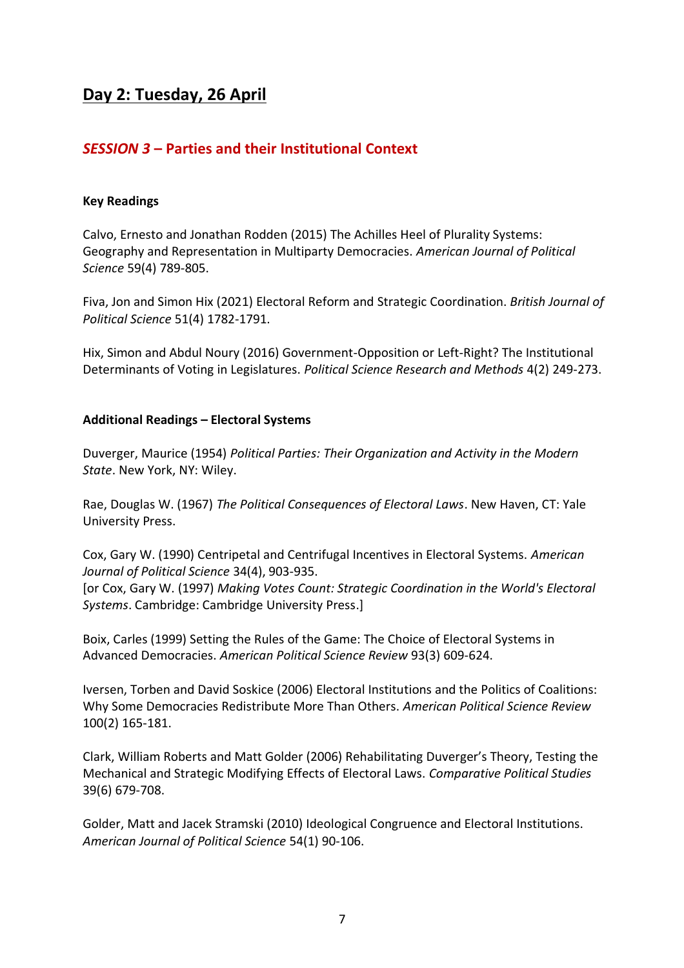## **Day 2: Tuesday, 26 April**

### *SESSION 3* **– Parties and their Institutional Context**

### **Key Readings**

Calvo, Ernesto and Jonathan Rodden (2015) The Achilles Heel of Plurality Systems: Geography and Representation in Multiparty Democracies. *American Journal of Political Science* 59(4) 789-805.

Fiva, Jon and Simon Hix (2021) Electoral Reform and Strategic Coordination. *British Journal of Political Science* 51(4) 1782-1791.

Hix, Simon and Abdul Noury (2016) Government-Opposition or Left-Right? The Institutional Determinants of Voting in Legislatures. *Political Science Research and Methods* 4(2) 249-273.

### **Additional Readings – Electoral Systems**

Duverger, Maurice (1954) *Political Parties: Their Organization and Activity in the Modern State*. New York, NY: Wiley.

Rae, Douglas W. (1967) *The Political Consequences of Electoral Laws*. New Haven, CT: Yale University Press.

Cox, Gary W. (1990) Centripetal and Centrifugal Incentives in Electoral Systems. *American Journal of Political Science* 34(4), 903-935.

[or Cox, Gary W. (1997) *Making Votes Count: Strategic Coordination in the World's Electoral Systems*. Cambridge: Cambridge University Press.]

Boix, Carles (1999) Setting the Rules of the Game: The Choice of Electoral Systems in Advanced Democracies. *American Political Science Review* 93(3) 609-624.

Iversen, Torben and David Soskice (2006) Electoral Institutions and the Politics of Coalitions: Why Some Democracies Redistribute More Than Others. *American Political Science Review* 100(2) 165-181.

Clark, William Roberts and Matt Golder (2006) Rehabilitating Duverger's Theory, Testing the Mechanical and Strategic Modifying Effects of Electoral Laws. *Comparative Political Studies* 39(6) 679-708.

Golder, Matt and Jacek Stramski (2010) Ideological Congruence and Electoral Institutions. *American Journal of Political Science* 54(1) 90-106.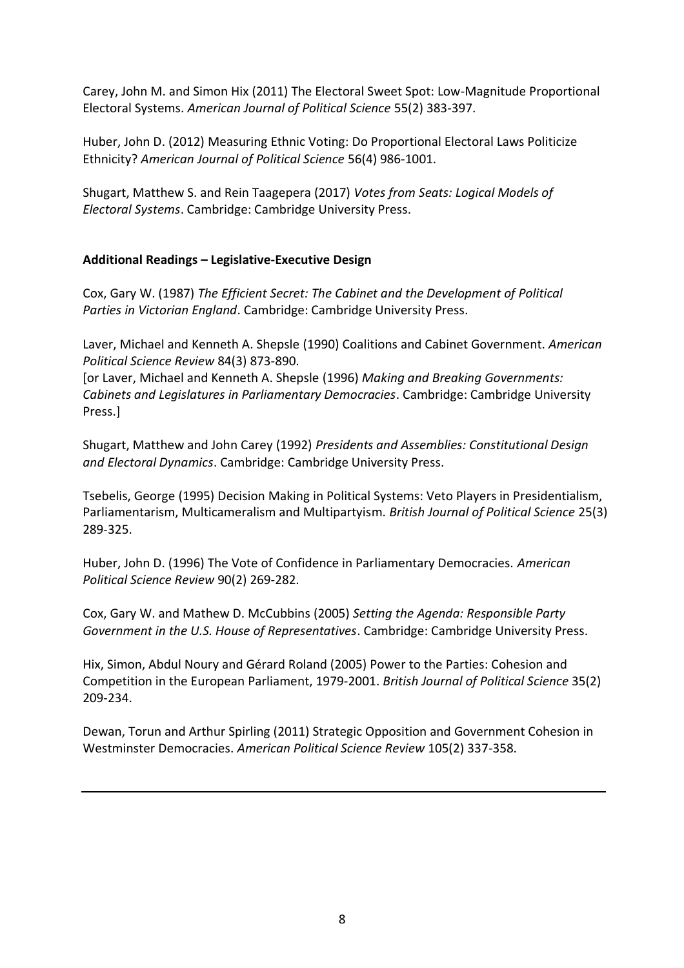Carey, John M. and Simon Hix (2011) The Electoral Sweet Spot: Low-Magnitude Proportional Electoral Systems. *American Journal of Political Science* 55(2) 383-397.

Huber, John D. (2012) Measuring Ethnic Voting: Do Proportional Electoral Laws Politicize Ethnicity? *American Journal of Political Science* 56(4) 986-1001.

Shugart, Matthew S. and Rein Taagepera (2017) *Votes from Seats: Logical Models of Electoral Systems*. Cambridge: Cambridge University Press.

### **Additional Readings – Legislative-Executive Design**

Cox, Gary W. (1987) *The Efficient Secret: The Cabinet and the Development of Political Parties in Victorian England*. Cambridge: Cambridge University Press.

Laver, Michael and Kenneth A. Shepsle (1990) Coalitions and Cabinet Government. *American Political Science Review* 84(3) 873-890.

[or Laver, Michael and Kenneth A. Shepsle (1996) *Making and Breaking Governments: Cabinets and Legislatures in Parliamentary Democracies*. Cambridge: Cambridge University Press.]

Shugart, Matthew and John Carey (1992) *Presidents and Assemblies: Constitutional Design and Electoral Dynamics*. Cambridge: Cambridge University Press.

Tsebelis, George (1995) Decision Making in Political Systems: Veto Players in Presidentialism, Parliamentarism, Multicameralism and Multipartyism. *British Journal of Political Science* 25(3) 289-325.

Huber, John D. (1996) The Vote of Confidence in Parliamentary Democracies. *American Political Science Review* 90(2) 269-282.

Cox, Gary W. and Mathew D. McCubbins (2005) *Setting the Agenda: Responsible Party Government in the U.S. House of Representatives*. Cambridge: Cambridge University Press.

Hix, Simon, Abdul Noury and Gérard Roland (2005) Power to the Parties: Cohesion and Competition in the European Parliament, 1979-2001. *British Journal of Political Science* 35(2) 209-234.

Dewan, Torun and Arthur Spirling (2011) Strategic Opposition and Government Cohesion in Westminster Democracies. *American Political Science Review* 105(2) 337-358.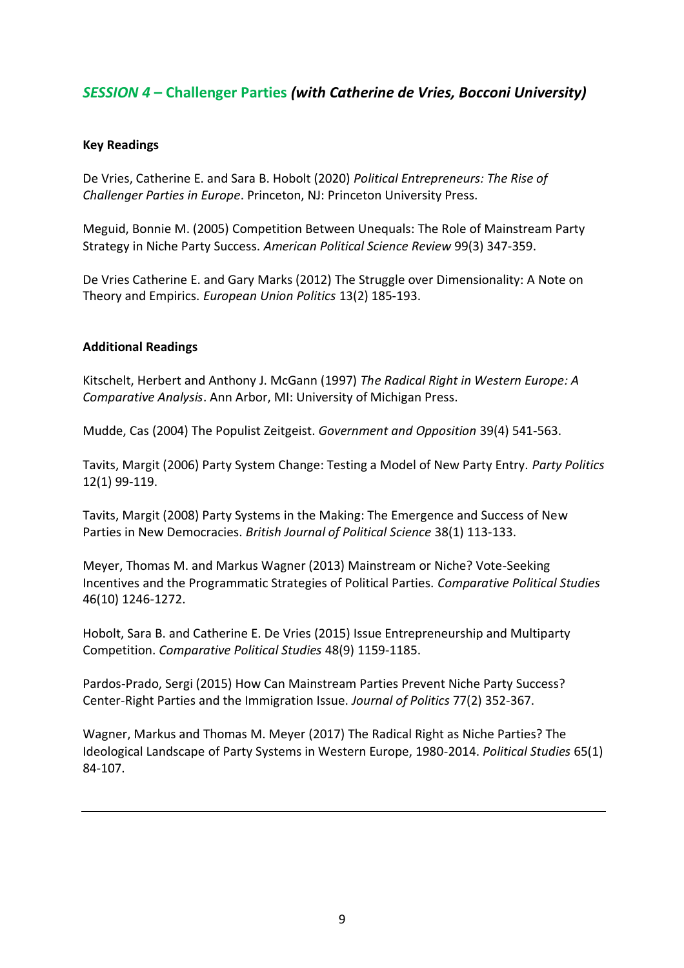### *SESSION 4* **– Challenger Parties** *(with Catherine de Vries, Bocconi University)*

### **Key Readings**

De Vries, Catherine E. and Sara B. Hobolt (2020) *Political Entrepreneurs: The Rise of Challenger Parties in Europe*. Princeton, NJ: Princeton University Press.

Meguid, Bonnie M. (2005) Competition Between Unequals: The Role of Mainstream Party Strategy in Niche Party Success. *American Political Science Review* 99(3) 347-359.

De Vries Catherine E. and Gary Marks (2012) The Struggle over Dimensionality: A Note on Theory and Empirics. *European Union Politics* 13(2) 185-193.

### **Additional Readings**

Kitschelt, Herbert and Anthony J. McGann (1997) *The Radical Right in Western Europe: A Comparative Analysis*. Ann Arbor, MI: University of Michigan Press.

Mudde, Cas (2004) The Populist Zeitgeist. *Government and Opposition* 39(4) 541-563.

Tavits, Margit (2006) Party System Change: Testing a Model of New Party Entry. *Party Politics*  12(1) 99-119.

Tavits, Margit (2008) Party Systems in the Making: The Emergence and Success of New Parties in New Democracies. *British Journal of Political Science* 38(1) 113-133.

Meyer, Thomas M. and Markus Wagner (2013) Mainstream or Niche? Vote-Seeking Incentives and the Programmatic Strategies of Political Parties. *Comparative Political Studies* 46(10) 1246-1272.

Hobolt, Sara B. and Catherine E. De Vries (2015) Issue Entrepreneurship and Multiparty Competition. *Comparative Political Studies* 48(9) 1159-1185.

Pardos-Prado, Sergi (2015) How Can Mainstream Parties Prevent Niche Party Success? Center-Right Parties and the Immigration Issue. *Journal of Politics* 77(2) 352-367.

Wagner, Markus and Thomas M. Meyer (2017) The Radical Right as Niche Parties? The Ideological Landscape of Party Systems in Western Europe, 1980-2014. *Political Studies* 65(1) 84-107.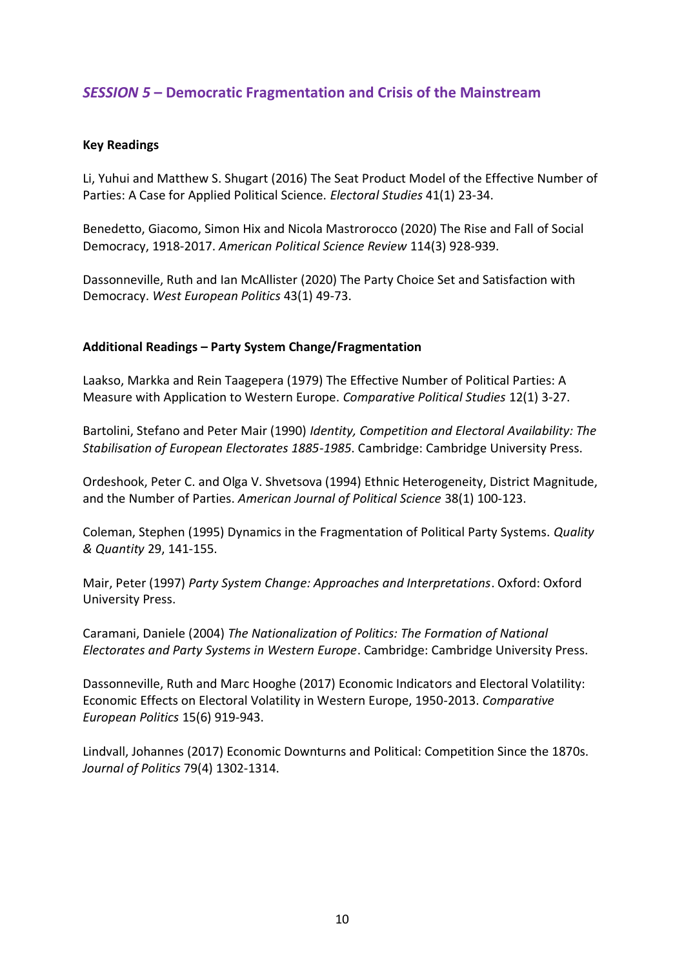### *SESSION 5* **– Democratic Fragmentation and Crisis of the Mainstream**

### **Key Readings**

Li, Yuhui and Matthew S. Shugart (2016) The Seat Product Model of the Effective Number of Parties: A Case for Applied Political Science. *Electoral Studies* 41(1) 23-34.

Benedetto, Giacomo, Simon Hix and Nicola Mastrorocco (2020) The Rise and Fall of Social Democracy, 1918-2017. *American Political Science Review* 114(3) 928-939.

Dassonneville, Ruth and Ian McAllister (2020) The Party Choice Set and Satisfaction with Democracy. *West European Politics* 43(1) 49-73.

### **Additional Readings – Party System Change/Fragmentation**

Laakso, Markka and Rein Taagepera (1979) The Effective Number of Political Parties: A Measure with Application to Western Europe. *Comparative Political Studies* 12(1) 3-27.

Bartolini, Stefano and Peter Mair (1990) *Identity, Competition and Electoral Availability: The Stabilisation of European Electorates 1885-1985*. Cambridge: Cambridge University Press.

Ordeshook, Peter C. and Olga V. Shvetsova (1994) Ethnic Heterogeneity, District Magnitude, and the Number of Parties. *American Journal of Political Science* 38(1) 100-123.

Coleman, Stephen (1995) Dynamics in the Fragmentation of Political Party Systems. *Quality & Quantity* 29, 141-155.

Mair, Peter (1997) *Party System Change: Approaches and Interpretations*. Oxford: Oxford University Press.

Caramani, Daniele (2004) *The Nationalization of Politics: The Formation of National Electorates and Party Systems in Western Europe*. Cambridge: Cambridge University Press.

Dassonneville, Ruth and Marc Hooghe (2017) Economic Indicators and Electoral Volatility: Economic Effects on Electoral Volatility in Western Europe, 1950-2013. *Comparative European Politics* 15(6) 919-943.

Lindvall, Johannes (2017) Economic Downturns and Political: Competition Since the 1870s. *Journal of Politics* 79(4) 1302-1314.